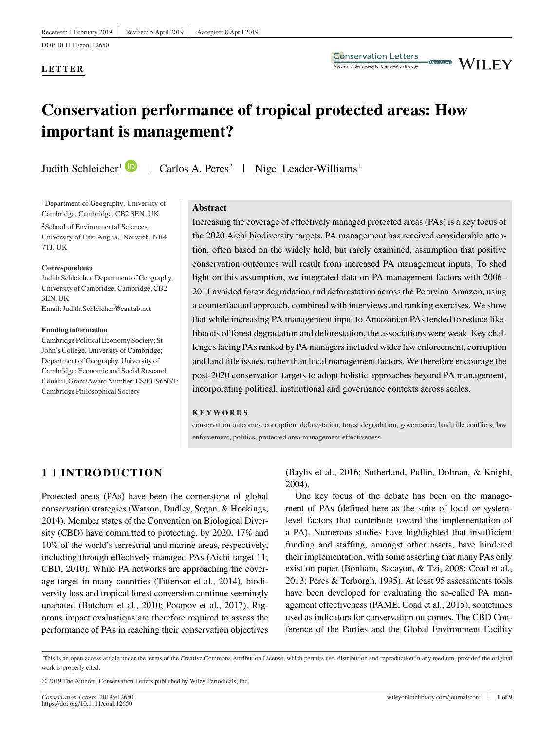DOI: 10.1111/conl.12650

#### **LETTER**

**Conservation Letters** A journal of the Society for Conservation Biology

# **CODERACCES** WILEY

# **Conservation performance of tropical protected areas: How important is management?**

Judith Schleicher<sup>1</sup> D | Carlos A. Peres<sup>2</sup> | Nigel Leader-Williams<sup>1</sup>

<sup>1</sup>Department of Geography, University of Cambridge, Cambridge, CB2 3EN, UK

2School of Environmental Sciences, University of East Anglia, Norwich, NR4 7TJ, UK

#### **Correspondence**

Judith Schleicher, Department of Geography, University of Cambridge, Cambridge, CB2 3EN, UK Email: Judith.Schleicher@cantab.net

#### **Funding information**

Cambridge Political Economy Society; St John's College, University of Cambridge; Department of Geography, University of Cambridge; Economic and Social Research Council, Grant/Award Number: ES/I019650/1; Cambridge Philosophical Society

#### **Abstract**

Increasing the coverage of effectively managed protected areas (PAs) is a key focus of the 2020 Aichi biodiversity targets. PA management has received considerable attention, often based on the widely held, but rarely examined, assumption that positive conservation outcomes will result from increased PA management inputs. To shed light on this assumption, we integrated data on PA management factors with 2006– 2011 avoided forest degradation and deforestation across the Peruvian Amazon, using a counterfactual approach, combined with interviews and ranking exercises. We show that while increasing PA management input to Amazonian PAs tended to reduce likelihoods of forest degradation and deforestation, the associations were weak. Key challenges facing PAs ranked by PA managers included wider law enforcement, corruption and land title issues, rather than local management factors. We therefore encourage the post-2020 conservation targets to adopt holistic approaches beyond PA management, incorporating political, institutional and governance contexts across scales.

#### **KEYWORDS**

conservation outcomes, corruption, deforestation, forest degradation, governance, land title conflicts, law enforcement, politics, protected area management effectiveness

# **1 INTRODUCTION**

Protected areas (PAs) have been the cornerstone of global conservation strategies (Watson, Dudley, Segan, & Hockings, 2014). Member states of the Convention on Biological Diversity (CBD) have committed to protecting, by 2020, 17% and 10% of the world's terrestrial and marine areas, respectively, including through effectively managed PAs (Aichi target 11; CBD, 2010). While PA networks are approaching the coverage target in many countries (Tittensor et al., 2014), biodiversity loss and tropical forest conversion continue seemingly unabated (Butchart et al., 2010; Potapov et al., 2017). Rigorous impact evaluations are therefore required to assess the performance of PAs in reaching their conservation objectives

(Baylis et al., 2016; Sutherland, Pullin, Dolman, & Knight, 2004).

One key focus of the debate has been on the management of PAs (defined here as the suite of local or systemlevel factors that contribute toward the implementation of a PA). Numerous studies have highlighted that insufficient funding and staffing, amongst other assets, have hindered their implementation, with some asserting that many PAs only exist on paper (Bonham, Sacayon, & Tzi, 2008; Coad et al., 2013; Peres & Terborgh, 1995). At least 95 assessments tools have been developed for evaluating the so-called PA management effectiveness (PAME; Coad et al., 2015), sometimes used as indicators for conservation outcomes. The CBD Conference of the Parties and the Global Environment Facility

© 2019 The Authors. Conservation Letters published by Wiley Periodicals, Inc.

This is an open access article under the terms of the [Creative Commons Attribution](http://creativecommons.org/licenses/by/4.0/) License, which permits use, distribution and reproduction in any medium, provided the original work is properly cited.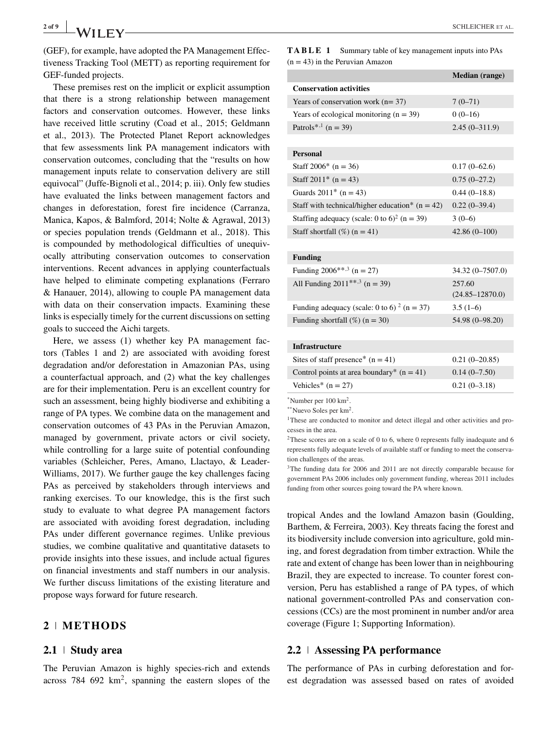(GEF), for example, have adopted the PA Management Effectiveness Tracking Tool (METT) as reporting requirement for GEF-funded projects.

These premises rest on the implicit or explicit assumption that there is a strong relationship between management factors and conservation outcomes. However, these links have received little scrutiny (Coad et al., 2015; Geldmann et al., 2013). The Protected Planet Report acknowledges that few assessments link PA management indicators with conservation outcomes, concluding that the "results on how management inputs relate to conservation delivery are still equivocal" (Juffe-Bignoli et al., 2014; p. iii). Only few studies have evaluated the links between management factors and changes in deforestation, forest fire incidence (Carranza, Manica, Kapos, & Balmford, 2014; Nolte & Agrawal, 2013) or species population trends (Geldmann et al., 2018). This is compounded by methodological difficulties of unequivocally attributing conservation outcomes to conservation interventions. Recent advances in applying counterfactuals have helped to eliminate competing explanations (Ferraro & Hanauer, 2014), allowing to couple PA management data with data on their conservation impacts. Examining these links is especially timely for the current discussions on setting goals to succeed the Aichi targets.

Here, we assess (1) whether key PA management factors (Tables 1 and 2) are associated with avoiding forest degradation and/or deforestation in Amazonian PAs, using a counterfactual approach, and (2) what the key challenges are for their implementation. Peru is an excellent country for such an assessment, being highly biodiverse and exhibiting a range of PA types. We combine data on the management and conservation outcomes of 43 PAs in the Peruvian Amazon, managed by government, private actors or civil society, while controlling for a large suite of potential confounding variables (Schleicher, Peres, Amano, Llactayo, & Leader-Williams, 2017). We further gauge the key challenges facing PAs as perceived by stakeholders through interviews and ranking exercises. To our knowledge, this is the first such study to evaluate to what degree PA management factors are associated with avoiding forest degradation, including PAs under different governance regimes. Unlike previous studies, we combine qualitative and quantitative datasets to provide insights into these issues, and include actual figures on financial investments and staff numbers in our analysis. We further discuss limitations of the existing literature and propose ways forward for future research.

#### **2 METHODS**

#### **2.1 Study area**

The Peruvian Amazon is highly species-rich and extends across 784 692  $km^2$ , spanning the eastern slopes of the **TABLE 1** Summary table of key management inputs into PAs  $(n = 43)$  in the Peruvian Amazon

|                                                         | <b>Median</b> (range) |
|---------------------------------------------------------|-----------------------|
| <b>Conservation activities</b>                          |                       |
| Years of conservation work ( $n=37$ )                   | $7(0-71)$             |
| Years of ecological monitoring $(n = 39)$               | $0(0-16)$             |
| Patrols*, <sup>1</sup> (n = 39)                         | $2.45(0-311.9)$       |
|                                                         |                       |
| <b>Personal</b>                                         |                       |
| Staff $2006*$ (n = 36)                                  | $0.17(0-62.6)$        |
| Staff $2011^*$ (n = 43)                                 | $0.75(0-27.2)$        |
| Guards $2011^*$ (n = 43)                                | $0.44(0-18.8)$        |
| Staff with technical/higher education* $(n = 42)$       | $0.22(0-39.4)$        |
| Staffing adequacy (scale: 0 to 6) <sup>2</sup> (n = 39) | $3(0-6)$              |
| Staff shortfall $(\%)$ (n = 41)                         | $42.86(0-100)$        |
|                                                         |                       |
| <b>Funding</b>                                          |                       |
| Funding $2006***$ <sup>3</sup> (n = 27)                 | 34.32 (0-7507.0)      |
| All Funding $2011***$ <sup>3</sup> (n = 39)             | 257.60                |
|                                                         | $(24.85 - 12870.0)$   |
| Funding adequacy (scale: 0 to 6) <sup>2</sup> (n = 37)  | $3.5(1-6)$            |
| Funding shortfall $(\%)$ (n = 30)                       | 54.98 (0-98.20)       |
|                                                         |                       |
| <b>Infrastructure</b>                                   |                       |
| Sites of staff presence* $(n = 41)$                     | $0.21(0-20.85)$       |
| Control points at area boundary* $(n = 41)$             | $0.14(0 - 7.50)$      |
| Vehicles* $(n = 27)$                                    | $0.21(0-3.18)$        |

\*Number per 100 km2.

\*\*Nuevo Soles per km2.

<sup>1</sup>These are conducted to monitor and detect illegal and other activities and processes in the area.

<sup>2</sup>These scores are on a scale of 0 to 6, where 0 represents fully inadequate and 6 represents fully adequate levels of available staff or funding to meet the conservation challenges of the areas.

<sup>3</sup>The funding data for 2006 and 2011 are not directly comparable because for government PAs 2006 includes only government funding, whereas 2011 includes funding from other sources going toward the PA where known.

tropical Andes and the lowland Amazon basin (Goulding, Barthem, & Ferreira, 2003). Key threats facing the forest and its biodiversity include conversion into agriculture, gold mining, and forest degradation from timber extraction. While the rate and extent of change has been lower than in neighbouring Brazil, they are expected to increase. To counter forest conversion, Peru has established a range of PA types, of which national government-controlled PAs and conservation concessions (CCs) are the most prominent in number and/or area coverage (Figure 1; Supporting Information).

#### **2.2 Assessing PA performance**

The performance of PAs in curbing deforestation and forest degradation was assessed based on rates of avoided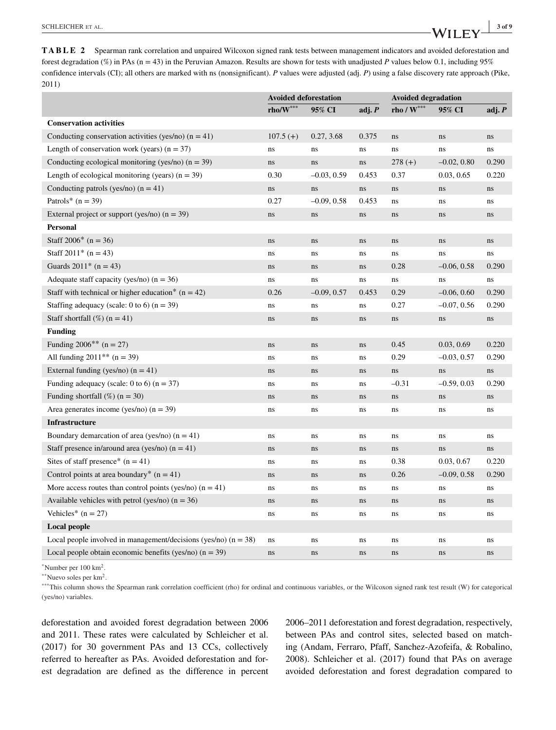**TABLE 2** Spearman rank correlation and unpaired Wilcoxon signed rank tests between management indicators and avoided deforestation and forest degradation (%) in PAs ( $n = 43$ ) in the Peruvian Amazon. Results are shown for tests with unadjusted P values below 0.1, including 95% confidence intervals (CI); all others are marked with ns (nonsignificant). *P* values were adjusted (adj. *P*) using a false discovery rate approach (Pike, 2011)

|                                                                   | <b>Avoided deforestation</b> |               | <b>Avoided degradation</b> |                          |               |          |
|-------------------------------------------------------------------|------------------------------|---------------|----------------------------|--------------------------|---------------|----------|
|                                                                   | $rho/W$ ***                  | 95% CI        | adj. $P$                   | rho / $W^{\ast\ast\ast}$ | 95% CI        | adj. $P$ |
| <b>Conservation activities</b>                                    |                              |               |                            |                          |               |          |
| Conducting conservation activities (yes/no) $(n = 41)$            | $107.5 (+)$                  | 0.27, 3.68    | 0.375                      | ns                       | ns            | ns       |
| Length of conservation work (years) $(n = 37)$                    | ns                           | ns            | $\rm ns$                   | ns                       | ns            | ns       |
| Conducting ecological monitoring (yes/no) $(n = 39)$              | ns                           | ns            | $\rm ns$                   | $278 (+)$                | $-0.02, 0.80$ | 0.290    |
| Length of ecological monitoring (years) $(n = 39)$                | 0.30                         | $-0.03, 0.59$ | 0.453                      | 0.37                     | 0.03, 0.65    | 0.220    |
| Conducting patrols (yes/no) $(n = 41)$                            | ns                           | ns            | ns                         | ns                       | ns            | ns       |
| Patrols* $(n = 39)$                                               | 0.27                         | $-0.09, 0.58$ | 0.453                      | ns                       | ns            | $\rm ns$ |
| External project or support (yes/no) $(n = 39)$                   | ns                           | ns            | ns                         | ns                       | ns            | ns       |
| <b>Personal</b>                                                   |                              |               |                            |                          |               |          |
| Staff 2006* ( $n = 36$ )                                          | ns                           | $\rm ns$      | ns                         | ns                       | ns            | ns       |
| Staff $2011^*$ (n = 43)                                           | ns                           | ns            | ns                         | ns                       | ns            | ns       |
| Guards $2011^*$ (n = 43)                                          | ns                           | ns            | ns                         | 0.28                     | $-0.06, 0.58$ | 0.290    |
| Adequate staff capacity (yes/no) $(n = 36)$                       | ns                           | ns            | ns                         | ns                       | ns            | ns       |
| Staff with technical or higher education <sup>*</sup> $(n = 42)$  | 0.26                         | $-0.09, 0.57$ | 0.453                      | 0.29                     | $-0.06, 0.60$ | 0.290    |
| Staffing adequacy (scale: 0 to 6) ( $n = 39$ )                    | ns                           | ns            | ns                         | 0.27                     | $-0.07, 0.56$ | 0.290    |
| Staff shortfall $(\%)$ (n = 41)                                   | ns                           | ns            | ns                         | $\rm ns$                 | ns            | $\,ns$   |
| <b>Funding</b>                                                    |                              |               |                            |                          |               |          |
| Funding $2006**$ (n = 27)                                         | ns                           | ns            | ns                         | 0.45                     | 0.03, 0.69    | 0.220    |
| All funding $2011**$ (n = 39)                                     | ns                           | $\rm ns$      | ns                         | 0.29                     | $-0.03, 0.57$ | 0.290    |
| External funding (yes/no) $(n = 41)$                              | ns                           | ns            | ns                         | $\rm ns$                 | ns            | ns       |
| Funding adequacy (scale: 0 to 6) $(n = 37)$                       | ns                           | ns            | ns                         | $-0.31$                  | $-0.59, 0.03$ | 0.290    |
| Funding shortfall $(\%)$ (n = 30)                                 | ns                           | ns            | ns                         | ns                       | ns            | ns       |
| Area generates income (yes/no) $(n = 39)$                         | ns                           | ns            | ns                         | ns                       | ns            | ns       |
| <b>Infrastructure</b>                                             |                              |               |                            |                          |               |          |
| Boundary demarcation of area (yes/no) $(n = 41)$                  | ns                           | ns            | ns                         | ns                       | ns            | ns       |
| Staff presence in/around area (yes/no) $(n = 41)$                 | ns                           | $\rm ns$      | ns                         | $\rm ns$                 | ns            | ns       |
| Sites of staff presence* $(n = 41)$                               | ns                           | $\rm ns$      | ns                         | 0.38                     | 0.03, 0.67    | 0.220    |
| Control points at area boundary <sup>*</sup> $(n = 41)$           | ns                           | ns            | ns                         | 0.26                     | $-0.09, 0.58$ | 0.290    |
| More access routes than control points (yes/no) $(n = 41)$        | ns                           | ns            | ns                         | ns                       | ns            | ns       |
| Available vehicles with petrol (yes/no) $(n = 36)$                | ns                           | ns            | ns                         | ns                       | ns            | ns       |
| Vehicles* $(n = 27)$                                              | ns                           | $\rm ns$      | ns                         | ns                       | ns            | ns       |
| Local people                                                      |                              |               |                            |                          |               |          |
| Local people involved in management/decisions (yes/no) $(n = 38)$ | ns                           | ns            | ns                         | ns                       | ns            | ns       |
| Local people obtain economic benefits (yes/no) $(n = 39)$         | ns                           | ns            | ns                         | ns                       | ns            | ns       |

\*Number per 100 km2.

\*\*Nuevo soles per km2.

\*\*\*This column shows the Spearman rank correlation coefficient (rho) for ordinal and continuous variables, or the Wilcoxon signed rank test result (W) for categorical (yes/no) variables.

deforestation and avoided forest degradation between 2006 and 2011. These rates were calculated by Schleicher et al. (2017) for 30 government PAs and 13 CCs, collectively referred to hereafter as PAs. Avoided deforestation and forest degradation are defined as the difference in percent 2006–2011 deforestation and forest degradation, respectively, between PAs and control sites, selected based on matching (Andam, Ferraro, Pfaff, Sanchez-Azofeifa, & Robalino, 2008). Schleicher et al. (2017) found that PAs on average avoided deforestation and forest degradation compared to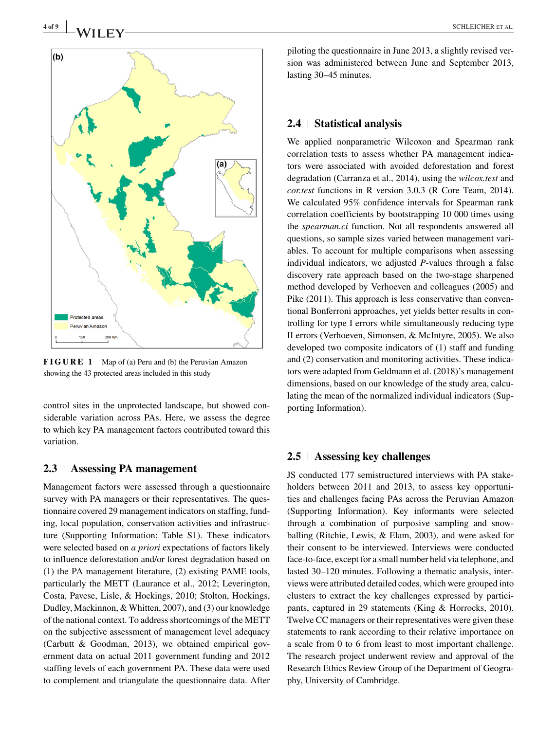

**FIGURE 1** Map of (a) Peru and (b) the Peruvian Amazon showing the 43 protected areas included in this study

control sites in the unprotected landscape, but showed considerable variation across PAs. Here, we assess the degree to which key PA management factors contributed toward this variation.

#### **2.3 Assessing PA management**

Management factors were assessed through a questionnaire survey with PA managers or their representatives. The questionnaire covered 29 management indicators on staffing, funding, local population, conservation activities and infrastructure (Supporting Information; Table S1). These indicators were selected based on *a priori* expectations of factors likely to influence deforestation and/or forest degradation based on (1) the PA management literature, (2) existing PAME tools, particularly the METT (Laurance et al., 2012; Leverington, Costa, Pavese, Lisle, & Hockings, 2010; Stolton, Hockings, Dudley, Mackinnon, & Whitten, 2007), and (3) our knowledge of the national context. To address shortcomings of the METT on the subjective assessment of management level adequacy (Carbutt & Goodman, 2013), we obtained empirical government data on actual 2011 government funding and 2012 staffing levels of each government PA. These data were used to complement and triangulate the questionnaire data. After piloting the questionnaire in June 2013, a slightly revised version was administered between June and September 2013, lasting 30–45 minutes.

#### **2.4 Statistical analysis**

We applied nonparametric Wilcoxon and Spearman rank correlation tests to assess whether PA management indicators were associated with avoided deforestation and forest degradation (Carranza et al., 2014), using the *wilcox.test* and *cor.test* functions in R version 3.0.3 (R Core Team, 2014). We calculated 95% confidence intervals for Spearman rank correlation coefficients by bootstrapping 10 000 times using the *spearman.ci* function. Not all respondents answered all questions, so sample sizes varied between management variables. To account for multiple comparisons when assessing individual indicators, we adjusted *P*-values through a false discovery rate approach based on the two-stage sharpened method developed by Verhoeven and colleagues (2005) and Pike (2011). This approach is less conservative than conventional Bonferroni approaches, yet yields better results in controlling for type I errors while simultaneously reducing type II errors (Verhoeven, Simonsen, & McIntyre, 2005). We also developed two composite indicators of (1) staff and funding and (2) conservation and monitoring activities. These indicators were adapted from Geldmann et al. (2018)'s management dimensions, based on our knowledge of the study area, calculating the mean of the normalized individual indicators (Supporting Information).

#### **2.5 Assessing key challenges**

JS conducted 177 semistructured interviews with PA stakeholders between 2011 and 2013, to assess key opportunities and challenges facing PAs across the Peruvian Amazon (Supporting Information). Key informants were selected through a combination of purposive sampling and snowballing (Ritchie, Lewis, & Elam, 2003), and were asked for their consent to be interviewed. Interviews were conducted face-to-face, except for a small number held via telephone, and lasted 30–120 minutes. Following a thematic analysis, interviews were attributed detailed codes, which were grouped into clusters to extract the key challenges expressed by participants, captured in 29 statements (King & Horrocks, 2010). Twelve CC managers or their representatives were given these statements to rank according to their relative importance on a scale from 0 to 6 from least to most important challenge. The research project underwent review and approval of the Research Ethics Review Group of the Department of Geography, University of Cambridge.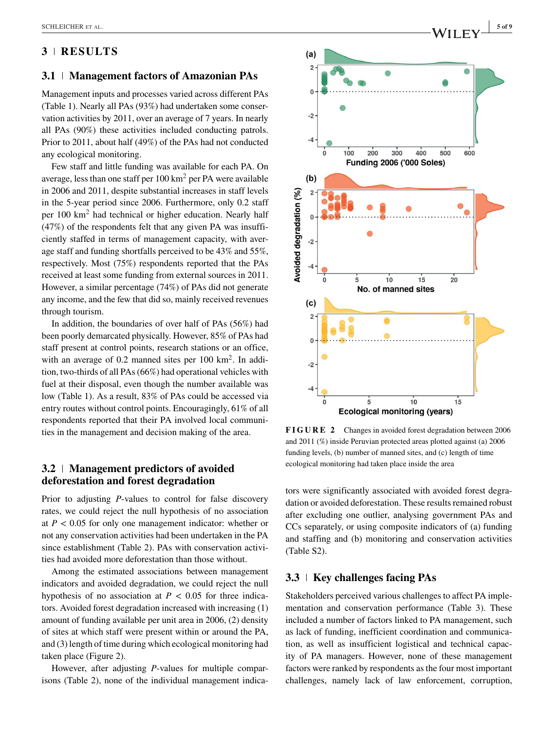# **3 RESULTS**

#### **3.1 Management factors of Amazonian PAs**

Management inputs and processes varied across different PAs (Table 1). Nearly all PAs (93%) had undertaken some conservation activities by 2011, over an average of 7 years. In nearly all PAs (90%) these activities included conducting patrols. Prior to 2011, about half (49%) of the PAs had not conducted any ecological monitoring.

Few staff and little funding was available for each PA. On average, less than one staff per  $100 \text{ km}^2$  per PA were available in 2006 and 2011, despite substantial increases in staff levels in the 5-year period since 2006. Furthermore, only 0.2 staff per 100 km2 had technical or higher education. Nearly half (47%) of the respondents felt that any given PA was insufficiently staffed in terms of management capacity, with average staff and funding shortfalls perceived to be 43% and 55%, respectively. Most (75%) respondents reported that the PAs received at least some funding from external sources in 2011. However, a similar percentage (74%) of PAs did not generate any income, and the few that did so, mainly received revenues through tourism.

In addition, the boundaries of over half of PAs (56%) had been poorly demarcated physically. However, 85% of PAs had staff present at control points, research stations or an office, with an average of 0.2 manned sites per  $100 \text{ km}^2$ . In addition, two-thirds of all PAs (66%) had operational vehicles with fuel at their disposal, even though the number available was low (Table 1). As a result, 83% of PAs could be accessed via entry routes without control points. Encouragingly, 61% of all respondents reported that their PA involved local communities in the management and decision making of the area.

## **3.2 Management predictors of avoided deforestation and forest degradation**

Prior to adjusting *P*-values to control for false discovery rates, we could reject the null hypothesis of no association at  $P < 0.05$  for only one management indicator: whether or not any conservation activities had been undertaken in the PA since establishment (Table 2). PAs with conservation activities had avoided more deforestation than those without.

Among the estimated associations between management indicators and avoided degradation, we could reject the null hypothesis of no association at  $P < 0.05$  for three indicators. Avoided forest degradation increased with increasing (1) amount of funding available per unit area in 2006, (2) density of sites at which staff were present within or around the PA, and (3) length of time during which ecological monitoring had taken place (Figure 2).

However, after adjusting *P*-values for multiple comparisons (Table 2), none of the individual management indica-



**FIGURE 2** Changes in avoided forest degradation between 2006 and 2011 (%) inside Peruvian protected areas plotted against (a) 2006 funding levels, (b) number of manned sites, and (c) length of time ecological monitoring had taken place inside the area

tors were significantly associated with avoided forest degradation or avoided deforestation. These results remained robust after excluding one outlier, analysing government PAs and CCs separately, or using composite indicators of (a) funding and staffing and (b) monitoring and conservation activities (Table S2).

### **3.3 Key challenges facing PAs**

Stakeholders perceived various challenges to affect PA implementation and conservation performance (Table 3). These included a number of factors linked to PA management, such as lack of funding, inefficient coordination and communication, as well as insufficient logistical and technical capacity of PA managers. However, none of these management factors were ranked by respondents as the four most important challenges, namely lack of law enforcement, corruption,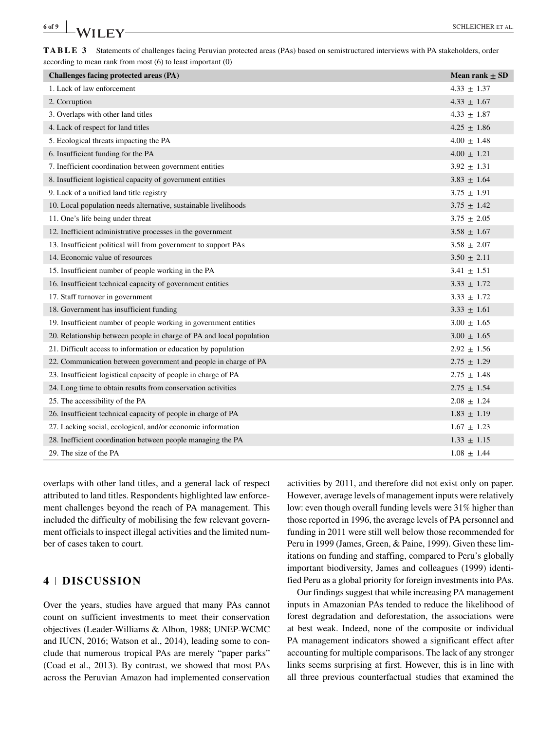| TABLE 3<br>Statements of challenges facing Peruvian protected areas (PAs) based on semistructured interviews with PA stakeholders, order<br>according to mean rank from most $(6)$ to least important $(0)$ |                    |
|-------------------------------------------------------------------------------------------------------------------------------------------------------------------------------------------------------------|--------------------|
| Challenges facing protected areas (PA)                                                                                                                                                                      | Mean rank $\pm$ SD |
| 1. Lack of law enforcement                                                                                                                                                                                  | $4.33 \pm 1.37$    |
| 2. Corruption                                                                                                                                                                                               | $4.33 \pm 1.67$    |
| 3. Overlaps with other land titles                                                                                                                                                                          | $4.33 \pm 1.87$    |
| 4. Lack of respect for land titles                                                                                                                                                                          | $4.25 \pm 1.86$    |
| 5. Ecological threats impacting the PA                                                                                                                                                                      | $4.00 \pm 1.48$    |
| 6. Insufficient funding for the PA                                                                                                                                                                          | $4.00 \pm 1.21$    |
| 7. Inefficient coordination between government entities                                                                                                                                                     | $3.92 \pm 1.31$    |
| 8. Insufficient logistical capacity of government entities                                                                                                                                                  | $3.83 + 1.64$      |

| 2. Corruption                                                        | 4.33 $\pm$ 1.07 |
|----------------------------------------------------------------------|-----------------|
| 3. Overlaps with other land titles                                   | $4.33 \pm 1.87$ |
| 4. Lack of respect for land titles                                   | $4.25 \pm 1.86$ |
| 5. Ecological threats impacting the PA                               | $4.00 \pm 1.48$ |
| 6. Insufficient funding for the PA                                   | $4.00 \pm 1.21$ |
| 7. Inefficient coordination between government entities              | $3.92 \pm 1.31$ |
| 8. Insufficient logistical capacity of government entities           | $3.83 \pm 1.64$ |
| 9. Lack of a unified land title registry                             | $3.75 \pm 1.91$ |
| 10. Local population needs alternative, sustainable livelihoods      | $3.75 \pm 1.42$ |
| 11. One's life being under threat                                    | $3.75 \pm 2.05$ |
| 12. Inefficient administrative processes in the government           | $3.58 \pm 1.67$ |
| 13. Insufficient political will from government to support PAs       | $3.58 \pm 2.07$ |
| 14. Economic value of resources                                      | $3.50 \pm 2.11$ |
| 15. Insufficient number of people working in the PA                  | $3.41 \pm 1.51$ |
| 16. Insufficient technical capacity of government entities           | $3.33 \pm 1.72$ |
| 17. Staff turnover in government                                     | $3.33 \pm 1.72$ |
| 18. Government has insufficient funding                              | $3.33 \pm 1.61$ |
| 19. Insufficient number of people working in government entities     | $3.00 \pm 1.65$ |
| 20. Relationship between people in charge of PA and local population | $3.00 \pm 1.65$ |
| 21. Difficult access to information or education by population       | $2.92 \pm 1.56$ |
| 22. Communication between government and people in charge of PA      | $2.75 \pm 1.29$ |
| 23. Insufficient logistical capacity of people in charge of PA       | $2.75 \pm 1.48$ |
| 24. Long time to obtain results from conservation activities         | $2.75 \pm 1.54$ |
| 25. The accessibility of the PA                                      | $2.08 \pm 1.24$ |
| 26. Insufficient technical capacity of people in charge of PA        | $1.83 \pm 1.19$ |
| 27. Lacking social, ecological, and/or economic information          | $1.67 \pm 1.23$ |
| 28. Inefficient coordination between people managing the PA          | $1.33 \pm 1.15$ |
| 29. The size of the PA                                               | $1.08 \pm 1.44$ |
|                                                                      |                 |

overlaps with other land titles, and a general lack of respect attributed to land titles. Respondents highlighted law enforcement challenges beyond the reach of PA management. This included the difficulty of mobilising the few relevant government officials to inspect illegal activities and the limited number of cases taken to court.

# **4 DISCUSSION**

Over the years, studies have argued that many PAs cannot count on sufficient investments to meet their conservation objectives (Leader-Williams & Albon, 1988; UNEP-WCMC and IUCN, 2016; Watson et al., 2014), leading some to conclude that numerous tropical PAs are merely "paper parks" (Coad et al., 2013). By contrast, we showed that most PAs across the Peruvian Amazon had implemented conservation activities by 2011, and therefore did not exist only on paper. However, average levels of management inputs were relatively low: even though overall funding levels were 31% higher than those reported in 1996, the average levels of PA personnel and funding in 2011 were still well below those recommended for Peru in 1999 (James, Green, & Paine, 1999). Given these limitations on funding and staffing, compared to Peru's globally important biodiversity, James and colleagues (1999) identified Peru as a global priority for foreign investments into PAs.

Our findings suggest that while increasing PA management inputs in Amazonian PAs tended to reduce the likelihood of forest degradation and deforestation, the associations were at best weak. Indeed, none of the composite or individual PA management indicators showed a significant effect after accounting for multiple comparisons. The lack of any stronger links seems surprising at first. However, this is in line with all three previous counterfactual studies that examined the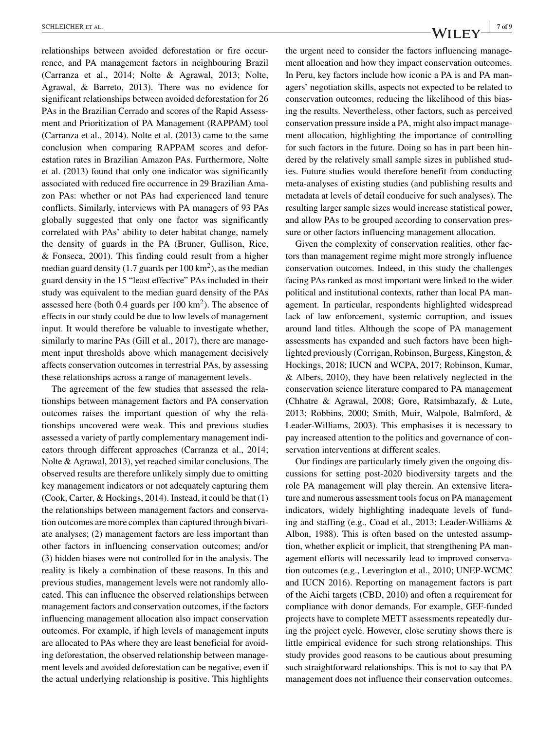relationships between avoided deforestation or fire occurrence, and PA management factors in neighbouring Brazil (Carranza et al., 2014; Nolte & Agrawal, 2013; Nolte, Agrawal, & Barreto, 2013). There was no evidence for significant relationships between avoided deforestation for 26 PAs in the Brazilian Cerrado and scores of the Rapid Assessment and Prioritization of PA Management (RAPPAM) tool (Carranza et al., 2014). Nolte et al. (2013) came to the same conclusion when comparing RAPPAM scores and deforestation rates in Brazilian Amazon PAs. Furthermore, Nolte et al. (2013) found that only one indicator was significantly associated with reduced fire occurrence in 29 Brazilian Amazon PAs: whether or not PAs had experienced land tenure conflicts. Similarly, interviews with PA managers of 93 PAs globally suggested that only one factor was significantly correlated with PAs' ability to deter habitat change, namely the density of guards in the PA (Bruner, Gullison, Rice, & Fonseca, 2001). This finding could result from a higher median guard density (1.7 guards per  $100 \text{ km}^2$ ), as the median guard density in the 15 "least effective" PAs included in their study was equivalent to the median guard density of the PAs assessed here (both 0.4 guards per  $100 \text{ km}^2$ ). The absence of effects in our study could be due to low levels of management input. It would therefore be valuable to investigate whether, similarly to marine PAs (Gill et al., 2017), there are management input thresholds above which management decisively affects conservation outcomes in terrestrial PAs, by assessing these relationships across a range of management levels.

The agreement of the few studies that assessed the relationships between management factors and PA conservation outcomes raises the important question of why the relationships uncovered were weak. This and previous studies assessed a variety of partly complementary management indicators through different approaches (Carranza et al., 2014; Nolte & Agrawal, 2013), yet reached similar conclusions. The observed results are therefore unlikely simply due to omitting key management indicators or not adequately capturing them (Cook, Carter, & Hockings, 2014). Instead, it could be that (1) the relationships between management factors and conservation outcomes are more complex than captured through bivariate analyses; (2) management factors are less important than other factors in influencing conservation outcomes; and/or (3) hidden biases were not controlled for in the analysis. The reality is likely a combination of these reasons. In this and previous studies, management levels were not randomly allocated. This can influence the observed relationships between management factors and conservation outcomes, if the factors influencing management allocation also impact conservation outcomes. For example, if high levels of management inputs are allocated to PAs where they are least beneficial for avoiding deforestation, the observed relationship between management levels and avoided deforestation can be negative, even if the actual underlying relationship is positive. This highlights the urgent need to consider the factors influencing management allocation and how they impact conservation outcomes. In Peru, key factors include how iconic a PA is and PA managers' negotiation skills, aspects not expected to be related to conservation outcomes, reducing the likelihood of this biasing the results. Nevertheless, other factors, such as perceived conservation pressure inside a PA, might also impact management allocation, highlighting the importance of controlling for such factors in the future. Doing so has in part been hindered by the relatively small sample sizes in published studies. Future studies would therefore benefit from conducting meta-analyses of existing studies (and publishing results and metadata at levels of detail conducive for such analyses). The resulting larger sample sizes would increase statistical power, and allow PAs to be grouped according to conservation pressure or other factors influencing management allocation.

Given the complexity of conservation realities, other factors than management regime might more strongly influence conservation outcomes. Indeed, in this study the challenges facing PAs ranked as most important were linked to the wider political and institutional contexts, rather than local PA management. In particular, respondents highlighted widespread lack of law enforcement, systemic corruption, and issues around land titles. Although the scope of PA management assessments has expanded and such factors have been highlighted previously (Corrigan, Robinson, Burgess, Kingston, & Hockings, 2018; IUCN and WCPA, 2017; Robinson, Kumar, & Albers, 2010), they have been relatively neglected in the conservation science literature compared to PA management (Chhatre & Agrawal, 2008; Gore, Ratsimbazafy, & Lute, 2013; Robbins, 2000; Smith, Muir, Walpole, Balmford, & Leader-Williams, 2003). This emphasises it is necessary to pay increased attention to the politics and governance of conservation interventions at different scales.

Our findings are particularly timely given the ongoing discussions for setting post-2020 biodiversity targets and the role PA management will play therein. An extensive literature and numerous assessment tools focus on PA management indicators, widely highlighting inadequate levels of funding and staffing (e.g., Coad et al., 2013; Leader-Williams & Albon, 1988). This is often based on the untested assumption, whether explicit or implicit, that strengthening PA management efforts will necessarily lead to improved conservation outcomes (e.g., Leverington et al., 2010; UNEP-WCMC and IUCN 2016). Reporting on management factors is part of the Aichi targets (CBD, 2010) and often a requirement for compliance with donor demands. For example, GEF-funded projects have to complete METT assessments repeatedly during the project cycle. However, close scrutiny shows there is little empirical evidence for such strong relationships. This study provides good reasons to be cautious about presuming such straightforward relationships. This is not to say that PA management does not influence their conservation outcomes.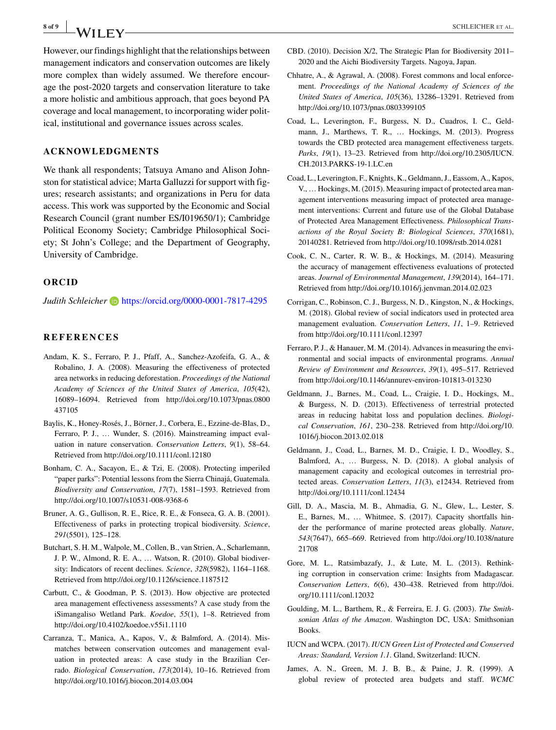However, our findings highlight that the relationships between management indicators and conservation outcomes are likely more complex than widely assumed. We therefore encourage the post-2020 targets and conservation literature to take a more holistic and ambitious approach, that goes beyond PA coverage and local management, to incorporating wider political, institutional and governance issues across scales.

#### **ACKNOWLEDGMENTS**

We thank all respondents; Tatsuya Amano and Alison Johnston for statistical advice; Marta Galluzzi for support with figures; research assistants; and organizations in Peru for data access. This work was supported by the Economic and Social Research Council (grant number ES/I019650/1); Cambridge Political Economy Society; Cambridge Philosophical Society; St John's College; and the Department of Geography, University of Cambridge.

#### **ORCID**

*Judith Schleicher* **b** <https://orcid.org/0000-0001-7817-4295>

#### **REFERENCES**

- Andam, K. S., Ferraro, P. J., Pfaff, A., Sanchez-Azofeifa, G. A., & Robalino, J. A. (2008). Measuring the effectiveness of protected area networks in reducing deforestation. *Proceedings of the National Academy of Sciences of the United States of America*, *105*(42), 16089–16094. Retrieved from [http://doi.org/10.1073/pnas.0800](http://doi.org/10.1073/pnas.0800437105) [437105](http://doi.org/10.1073/pnas.0800437105)
- Baylis, K., Honey-Rosés, J., Börner, J., Corbera, E., Ezzine-de-Blas, D., Ferraro, P. J., … Wunder, S. (2016). Mainstreaming impact evaluation in nature conservation. *Conservation Letters*, *9*(1), 58–64. Retrieved from<http://doi.org/10.1111/conl.12180>
- Bonham, C. A., Sacayon, E., & Tzi, E. (2008). Protecting imperiled "paper parks": Potential lessons from the Sierra Chinajá, Guatemala. *Biodiversity and Conservation*, *17*(7), 1581–1593. Retrieved from <http://doi.org/10.1007/s10531-008-9368-6>
- Bruner, A. G., Gullison, R. E., Rice, R. E., & Fonseca, G. A. B. (2001). Effectiveness of parks in protecting tropical biodiversity. *Science*, *291*(5501), 125–128.
- Butchart, S. H. M., Walpole, M., Collen, B., van Strien, A., Scharlemann, J. P. W., Almond, R. E. A., … Watson, R. (2010). Global biodiversity: Indicators of recent declines. *Science*, *328*(5982), 1164–1168. Retrieved from<http://doi.org/10.1126/science.1187512>
- Carbutt, C., & Goodman, P. S. (2013). How objective are protected area management effectiveness assessments? A case study from the iSimangaliso Wetland Park. *Koedoe*, *55*(1), 1–8. Retrieved from <http://doi.org/10.4102/koedoe.v55i1.1110>
- Carranza, T., Manica, A., Kapos, V., & Balmford, A. (2014). Mismatches between conservation outcomes and management evaluation in protected areas: A case study in the Brazilian Cerrado. *Biological Conservation*, *173*(2014), 10–16. Retrieved from <http://doi.org/10.1016/j.biocon.2014.03.004>
- CBD. (2010). Decision X/2, The Strategic Plan for Biodiversity 2011– 2020 and the Aichi Biodiversity Targets. Nagoya, Japan.
- Chhatre, A., & Agrawal, A. (2008). Forest commons and local enforcement. *Proceedings of the National Academy of Sciences of the United States of America*, *105*(36), 13286–13291. Retrieved from <http://doi.org/10.1073/pnas.0803399105>
- Coad, L., Leverington, F., Burgess, N. D., Cuadros, I. C., Geldmann, J., Marthews, T. R., … Hockings, M. (2013). Progress towards the CBD protected area management effectiveness targets. *Parks*, *19*(1), 13–23. Retrieved from [http://doi.org/10.2305/IUCN.](http://doi.org/10.2305/IUCN.CH.2013.PARKS-19-1.LC.en) [CH.2013.PARKS-19-1.LC.en](http://doi.org/10.2305/IUCN.CH.2013.PARKS-19-1.LC.en)
- Coad, L., Leverington, F., Knights, K., Geldmann, J., Eassom, A., Kapos, V., … Hockings, M. (2015). Measuring impact of protected area management interventions measuring impact of protected area management interventions: Current and future use of the Global Database of Protected Area Management Effectiveness. *Philosophical Transactions of the Royal Society B: Biological Sciences*, *370*(1681), 20140281. Retrieved from<http://doi.org/10.1098/rstb.2014.0281>
- Cook, C. N., Carter, R. W. B., & Hockings, M. (2014). Measuring the accuracy of management effectiveness evaluations of protected areas. *Journal of Environmental Management*, *139*(2014), 164–171. Retrieved from<http://doi.org/10.1016/j.jenvman.2014.02.023>
- Corrigan, C., Robinson, C. J., Burgess, N. D., Kingston, N., & Hockings, M. (2018). Global review of social indicators used in protected area management evaluation. *Conservation Letters*, *11*, 1–9. Retrieved from<http://doi.org/10.1111/conl.12397>
- Ferraro, P. J., & Hanauer, M. M. (2014). Advances in measuring the environmental and social impacts of environmental programs. *Annual Review of Environment and Resources*, *39*(1), 495–517. Retrieved from<http://doi.org/10.1146/annurev-environ-101813-013230>
- Geldmann, J., Barnes, M., Coad, L., Craigie, I. D., Hockings, M., & Burgess, N. D. (2013). Effectiveness of terrestrial protected areas in reducing habitat loss and population declines. *Biological Conservation*, *161*, 230–238. Retrieved from [http://doi.org/10.](http://doi.org/10.1016/j.biocon.2013.02.018) [1016/j.biocon.2013.02.018](http://doi.org/10.1016/j.biocon.2013.02.018)
- Geldmann, J., Coad, L., Barnes, M. D., Craigie, I. D., Woodley, S., Balmford, A., … Burgess, N. D. (2018). A global analysis of management capacity and ecological outcomes in terrestrial protected areas. *Conservation Letters*, *11*(3), e12434. Retrieved from <http://doi.org/10.1111/conl.12434>
- Gill, D. A., Mascia, M. B., Ahmadia, G. N., Glew, L., Lester, S. E., Barnes, M., … Whitmee, S. (2017). Capacity shortfalls hinder the performance of marine protected areas globally. *Nature*, *543*(7647), 665–669. Retrieved from [http://doi.org/10.1038/nature](http://doi.org/10.1038/nature21708) [21708](http://doi.org/10.1038/nature21708)
- Gore, M. L., Ratsimbazafy, J., & Lute, M. L. (2013). Rethinking corruption in conservation crime: Insights from Madagascar. *Conservation Letters*, *6*(6), 430–438. Retrieved from [http://doi.](http://doi.org/10.1111/conl.12032) [org/10.1111/conl.12032](http://doi.org/10.1111/conl.12032)
- Goulding, M. L., Barthem, R., & Ferreira, E. J. G. (2003). *The Smithsonian Atlas of the Amazon*. Washington DC, USA: Smithsonian Books.
- IUCN and WCPA. (2017). *IUCN Green List of Protected and Conserved Areas: Standard, Version 1.1*. Gland, Switzerland: IUCN.
- James, A. N., Green, M. J. B. B., & Paine, J. R. (1999). A global review of protected area budgets and staff. *WCMC*